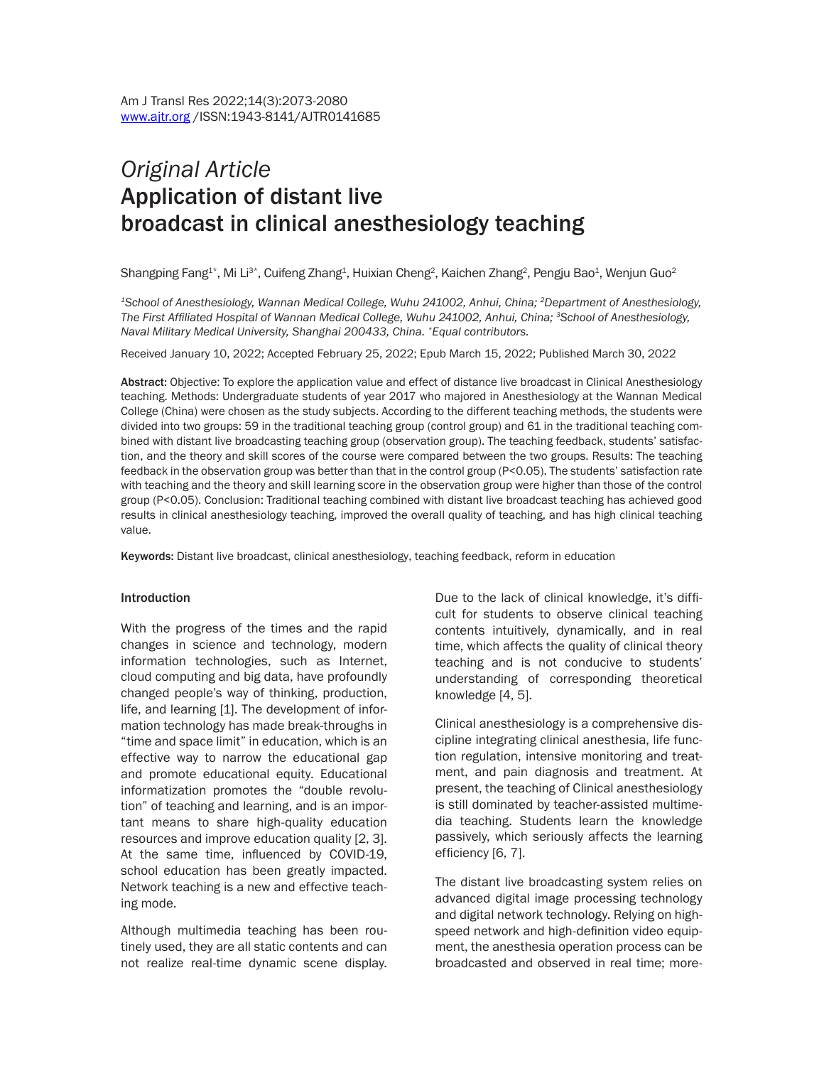# *Original Article* Application of distant live broadcast in clinical anesthesiology teaching

Shangping Fang $^{4*}$ , Mi Li $^{3*}$ , Cuifeng Zhang $^4$ , Huixian Cheng $^2$ , Kaichen Zhang $^2$ , Pengju Bao $^1$ , Wenjun Guo $^2$ 

*1School of Anesthesiology, Wannan Medical College, Wuhu 241002, Anhui, China; 2Department of Anesthesiology,*  The First Affiliated Hospital of Wannan Medical College, Wuhu 241002, Anhui, China; <sup>3</sup>School of Anesthesiology, *Naval Military Medical University, Shanghai 200433, China. \*Equal contributors.*

Received January 10, 2022; Accepted February 25, 2022; Epub March 15, 2022; Published March 30, 2022

Abstract: Objective: To explore the application value and effect of distance live broadcast in Clinical Anesthesiology teaching. Methods: Undergraduate students of year 2017 who majored in Anesthesiology at the Wannan Medical College (China) were chosen as the study subjects. According to the different teaching methods, the students were divided into two groups: 59 in the traditional teaching group (control group) and 61 in the traditional teaching combined with distant live broadcasting teaching group (observation group). The teaching feedback, students' satisfaction, and the theory and skill scores of the course were compared between the two groups. Results: The teaching feedback in the observation group was better than that in the control group (P<0.05). The students' satisfaction rate with teaching and the theory and skill learning score in the observation group were higher than those of the control group (P<0.05). Conclusion: Traditional teaching combined with distant live broadcast teaching has achieved good results in clinical anesthesiology teaching, improved the overall quality of teaching, and has high clinical teaching value.

Keywords: Distant live broadcast, clinical anesthesiology, teaching feedback, reform in education

#### Introduction

With the progress of the times and the rapid changes in science and technology, modern information technologies, such as Internet, cloud computing and big data, have profoundly changed people's way of thinking, production, life, and learning [1]. The development of information technology has made break-throughs in "time and space limit" in education, which is an effective way to narrow the educational gap and promote educational equity. Educational informatization promotes the "double revolution" of teaching and learning, and is an important means to share high-quality education resources and improve education quality [2, 3]. At the same time, influenced by COVID-19, school education has been greatly impacted. Network teaching is a new and effective teaching mode.

Although multimedia teaching has been routinely used, they are all static contents and can not realize real-time dynamic scene display. Due to the lack of clinical knowledge, it's difficult for students to observe clinical teaching contents intuitively, dynamically, and in real time, which affects the quality of clinical theory teaching and is not conducive to students' understanding of corresponding theoretical knowledge [4, 5].

Clinical anesthesiology is a comprehensive discipline integrating clinical anesthesia, life function regulation, intensive monitoring and treatment, and pain diagnosis and treatment. At present, the teaching of Clinical anesthesiology is still dominated by teacher-assisted multimedia teaching. Students learn the knowledge passively, which seriously affects the learning efficiency [6, 7].

The distant live broadcasting system relies on advanced digital image processing technology and digital network technology. Relying on highspeed network and high-definition video equipment, the anesthesia operation process can be broadcasted and observed in real time; more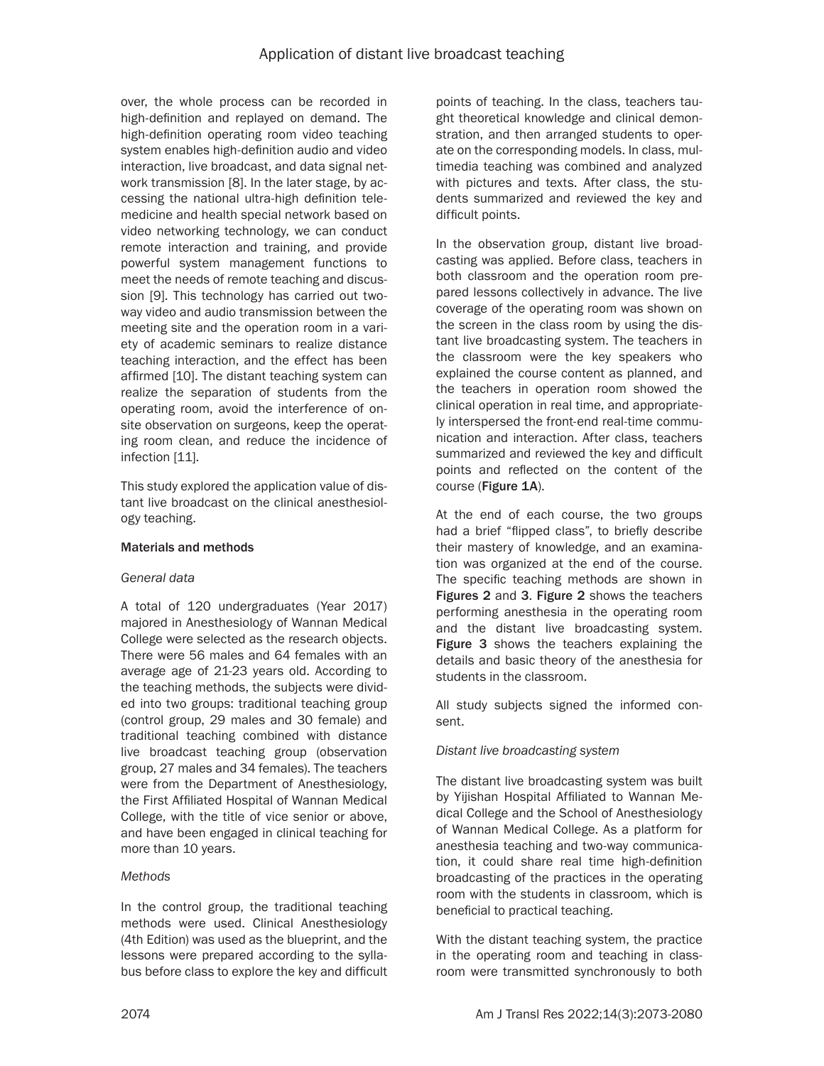over, the whole process can be recorded in high-definition and replayed on demand. The high-definition operating room video teaching system enables high-definition audio and video interaction, live broadcast, and data signal network transmission [8]. In the later stage, by accessing the national ultra-high definition telemedicine and health special network based on video networking technology, we can conduct remote interaction and training, and provide powerful system management functions to meet the needs of remote teaching and discussion [9]. This technology has carried out twoway video and audio transmission between the meeting site and the operation room in a variety of academic seminars to realize distance teaching interaction, and the effect has been affirmed [10]. The distant teaching system can realize the separation of students from the operating room, avoid the interference of onsite observation on surgeons, keep the operating room clean, and reduce the incidence of infection [11].

This study explored the application value of distant live broadcast on the clinical anesthesiology teaching.

# Materials and methods

#### *General data*

A total of 120 undergraduates (Year 2017) majored in Anesthesiology of Wannan Medical College were selected as the research objects. There were 56 males and 64 females with an average age of 21-23 years old. According to the teaching methods, the subjects were divided into two groups: traditional teaching group (control group, 29 males and 30 female) and traditional teaching combined with distance live broadcast teaching group (observation group, 27 males and 34 females). The teachers were from the Department of Anesthesiology, the First Affiliated Hospital of Wannan Medical College, with the title of vice senior or above, and have been engaged in clinical teaching for more than 10 years.

#### *Methods*

In the control group, the traditional teaching methods were used. Clinical Anesthesiology (4th Edition) was used as the blueprint, and the lessons were prepared according to the syllabus before class to explore the key and difficult

points of teaching. In the class, teachers taught theoretical knowledge and clinical demonstration, and then arranged students to operate on the corresponding models. In class, multimedia teaching was combined and analyzed with pictures and texts. After class, the students summarized and reviewed the key and difficult points.

In the observation group, distant live broadcasting was applied. Before class, teachers in both classroom and the operation room prepared lessons collectively in advance. The live coverage of the operating room was shown on the screen in the class room by using the distant live broadcasting system. The teachers in the classroom were the key speakers who explained the course content as planned, and the teachers in operation room showed the clinical operation in real time, and appropriately interspersed the front-end real-time communication and interaction. After class, teachers summarized and reviewed the key and difficult points and reflected on the content of the course (Figure 1A).

At the end of each course, the two groups had a brief "flipped class", to briefly describe their mastery of knowledge, and an examination was organized at the end of the course. The specific teaching methods are shown in Figures 2 and 3. Figure 2 shows the teachers performing anesthesia in the operating room and the distant live broadcasting system. Figure 3 shows the teachers explaining the details and basic theory of the anesthesia for students in the classroom.

All study subjects signed the informed consent.

# *Distant live broadcasting system*

The distant live broadcasting system was built by Yijishan Hospital Affiliated to Wannan Medical College and the School of Anesthesiology of Wannan Medical College. As a platform for anesthesia teaching and two-way communication, it could share real time high-definition broadcasting of the practices in the operating room with the students in classroom, which is beneficial to practical teaching.

With the distant teaching system, the practice in the operating room and teaching in classroom were transmitted synchronously to both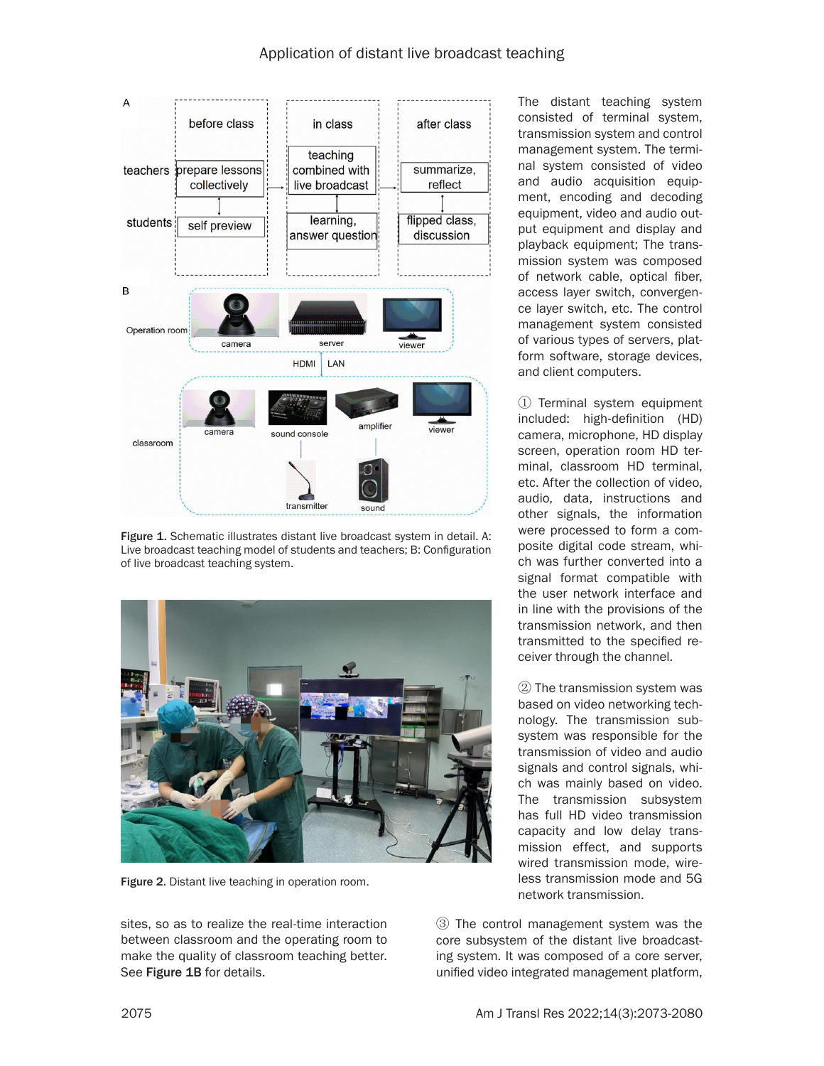

Figure 1. Schematic illustrates distant live broadcast system in detail. A: Live broadcast teaching model of students and teachers; B: Configuration of live broadcast teaching system.



Figure 2. Distant live teaching in operation room.

sites, so as to realize the real-time interaction between classroom and the operating room to make the quality of classroom teaching better. See Figure 1B for details.

The distant teaching system consisted of terminal system, transmission system and control management system. The terminal system consisted of video and audio acquisition equipment, encoding and decoding equipment, video and audio output equipment and display and playback equipment; The transmission system was composed of network cable, optical fiber, access layer switch, convergence layer switch, etc. The control management system consisted of various types of servers, platform software, storage devices, and client computers.

① Terminal system equipment included: high-definition (HD) camera, microphone, HD display screen, operation room HD terminal, classroom HD terminal, etc. After the collection of video, audio, data, instructions and other signals, the information were processed to form a composite digital code stream, which was further converted into a signal format compatible with the user network interface and in line with the provisions of the transmission network, and then transmitted to the specified receiver through the channel.

② The transmission system was based on video networking technology. The transmission subsystem was responsible for the transmission of video and audio signals and control signals, which was mainly based on video. The transmission subsystem has full HD video transmission capacity and low delay transmission effect, and supports wired transmission mode, wireless transmission mode and 5G network transmission.

③ The control management system was the core subsystem of the distant live broadcasting system. It was composed of a core server, unified video integrated management platform,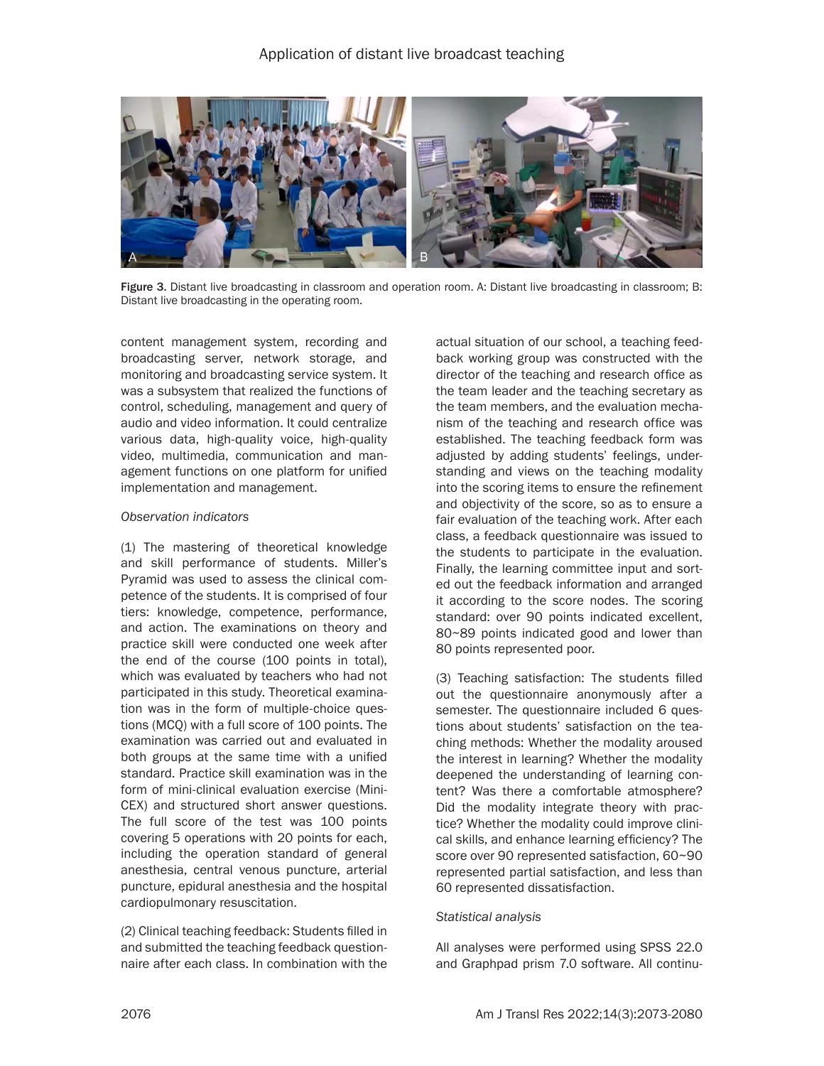

Figure 3. Distant live broadcasting in classroom and operation room. A: Distant live broadcasting in classroom; B: Distant live broadcasting in the operating room.

content management system, recording and broadcasting server, network storage, and monitoring and broadcasting service system. It was a subsystem that realized the functions of control, scheduling, management and query of audio and video information. It could centralize various data, high-quality voice, high-quality video, multimedia, communication and management functions on one platform for unified implementation and management.

#### *Observation indicators*

(1) The mastering of theoretical knowledge and skill performance of students. Miller's Pyramid was used to assess the clinical competence of the students. It is comprised of four tiers: knowledge, competence, performance, and action. The examinations on theory and practice skill were conducted one week after the end of the course (100 points in total), which was evaluated by teachers who had not participated in this study. Theoretical examination was in the form of multiple-choice questions (MCQ) with a full score of 100 points. The examination was carried out and evaluated in both groups at the same time with a unified standard. Practice skill examination was in the form of mini-clinical evaluation exercise (Mini-CEX) and structured short answer questions. The full score of the test was 100 points covering 5 operations with 20 points for each, including the operation standard of general anesthesia, central venous puncture, arterial puncture, epidural anesthesia and the hospital cardiopulmonary resuscitation.

(2) Clinical teaching feedback: Students filled in and submitted the teaching feedback questionnaire after each class. In combination with the

actual situation of our school, a teaching feedback working group was constructed with the director of the teaching and research office as the team leader and the teaching secretary as the team members, and the evaluation mechanism of the teaching and research office was established. The teaching feedback form was adjusted by adding students' feelings, understanding and views on the teaching modality into the scoring items to ensure the refinement and objectivity of the score, so as to ensure a fair evaluation of the teaching work. After each class, a feedback questionnaire was issued to the students to participate in the evaluation. Finally, the learning committee input and sorted out the feedback information and arranged it according to the score nodes. The scoring standard: over 90 points indicated excellent, 80~89 points indicated good and lower than 80 points represented poor.

(3) Teaching satisfaction: The students filled out the questionnaire anonymously after a semester. The questionnaire included 6 questions about students' satisfaction on the teaching methods: Whether the modality aroused the interest in learning? Whether the modality deepened the understanding of learning content? Was there a comfortable atmosphere? Did the modality integrate theory with practice? Whether the modality could improve clinical skills, and enhance learning efficiency? The score over 90 represented satisfaction, 60~90 represented partial satisfaction, and less than 60 represented dissatisfaction.

#### *Statistical analysis*

All analyses were performed using SPSS 22.0 and Graphpad prism 7.0 software. All continu-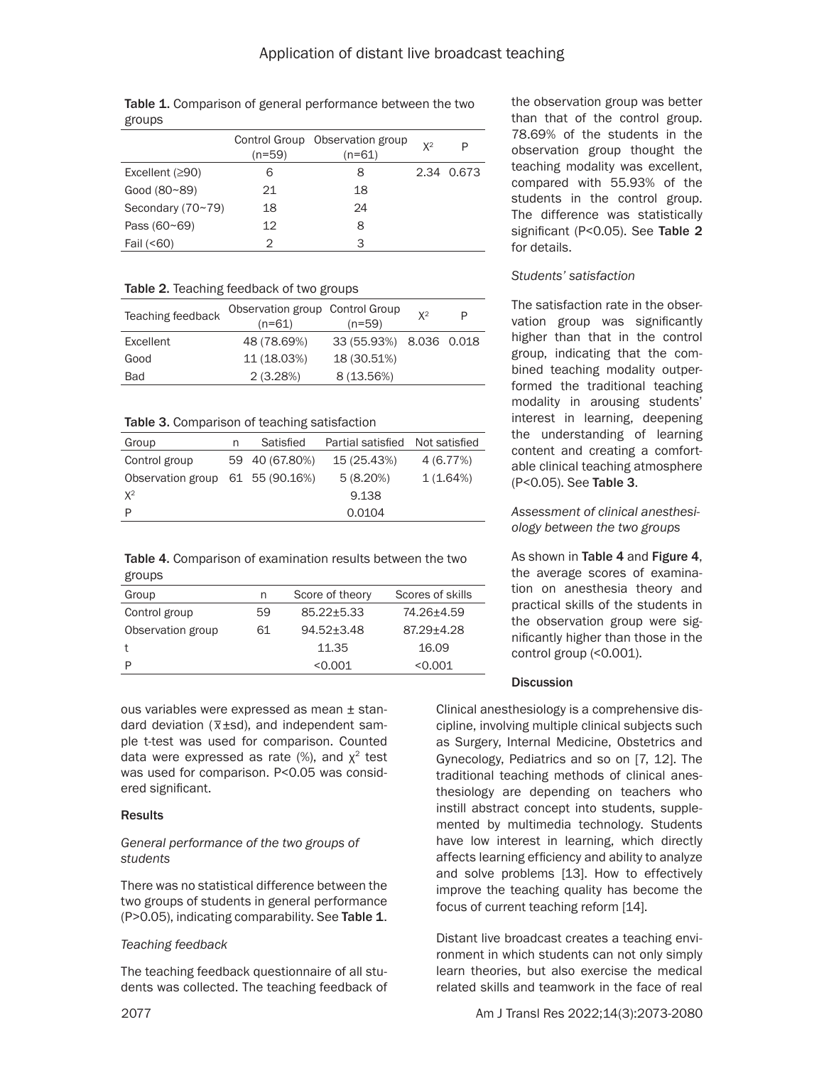| groups              |          |                                           |       |            |
|---------------------|----------|-------------------------------------------|-------|------------|
|                     | $(n=59)$ | Control Group Observation group<br>(n=61) | $X^2$ | P          |
| Excellent $(≥90)$   | 6        | 8                                         |       | 2.34 0.673 |
| Good (80~89)        | 21       | 18                                        |       |            |
| Secondary $(70~79)$ | 18       | 24                                        |       |            |
| Pass $(60 - 69)$    | 12       | 8                                         |       |            |

Table 1. Comparison of general performance between the two

Table 2. Teaching feedback of two groups

Fail (<60) 2 3

| Teaching feedback | Observation group Control Group<br>$(n=61)$ | $(n=59)$                | $X^2$ | P |
|-------------------|---------------------------------------------|-------------------------|-------|---|
| Excellent         | 48 (78.69%)                                 | 33 (55.93%) 8.036 0.018 |       |   |
| Good              | 11 (18.03%)                                 | 18 (30.51%)             |       |   |
| <b>Bad</b>        | 2(3.28%)                                    | 8(13.56%)               |       |   |

Table 3. Comparison of teaching satisfaction

| Group                            | n | Satisfied      | Partial satisfied Not satisfied |           |
|----------------------------------|---|----------------|---------------------------------|-----------|
| Control group                    |   | 59 40 (67.80%) | 15 (25.43%)                     | 4 (6.77%) |
| Observation group 61 55 (90.16%) |   |                | $5(8.20\%)$                     | 1(1.64%)  |
| $X^2$                            |   |                | 9.138                           |           |
| P                                |   |                | 0.0104                          |           |

| <b>Table 4.</b> Comparison of examination results between the two |  |
|-------------------------------------------------------------------|--|
| groups                                                            |  |

| Group             | n  | Score of theory | Scores of skills |
|-------------------|----|-----------------|------------------|
| Control group     | 59 | 85.22+5.33      | 74.26+4.59       |
|                   |    |                 |                  |
| Observation group | 61 | $94.52 + 3.48$  | 87.29+4.28       |
|                   |    | 11.35           | 16.09            |
| P                 |    | < 0.001         | < 0.001          |

ous variables were expressed as mean ± standard deviation ( $\overline{x}$ ±sd), and independent sam-<br>dard deviation ( $\overline{x}$ ±sd), and independent sample t-test was used for comparison. Counted data were expressed as rate  $(\%)$ , and  $\chi^2$  test was used for comparison. P<0.05 was considered significant.

# **Results**

## *General performance of the two groups of students*

There was no statistical difference between the two groups of students in general performance (P>0.05), indicating comparability. See Table 1.

# *Teaching feedback*

The teaching feedback questionnaire of all students was collected. The teaching feedback of the observation group was better than that of the control group. 78.69% of the students in the observation group thought the teaching modality was excellent, compared with 55.93% of the students in the control group. The difference was statistically significant (P<0.05). See Table 2 for details.

# *Students' satisfaction*

The satisfaction rate in the observation group was significantly higher than that in the control group, indicating that the combined teaching modality outperformed the traditional teaching modality in arousing students' interest in learning, deepening the understanding of learning content and creating a comfortable clinical teaching atmosphere (P<0.05). See Table 3.

## *Assessment of clinical anesthesiology between the two groups*

As shown in Table 4 and Figure 4, the average scores of examination on anesthesia theory and practical skills of the students in the observation group were significantly higher than those in the control group (<0.001).

# **Discussion**

Clinical anesthesiology is a comprehensive discipline, involving multiple clinical subjects such as Surgery, Internal Medicine, Obstetrics and Gynecology, Pediatrics and so on [7, 12]. The traditional teaching methods of clinical anesthesiology are depending on teachers who instill abstract concept into students, supplemented by multimedia technology. Students have low interest in learning, which directly affects learning efficiency and ability to analyze and solve problems [13]. How to effectively improve the teaching quality has become the focus of current teaching reform [14].

Distant live broadcast creates a teaching environment in which students can not only simply learn theories, but also exercise the medical related skills and teamwork in the face of real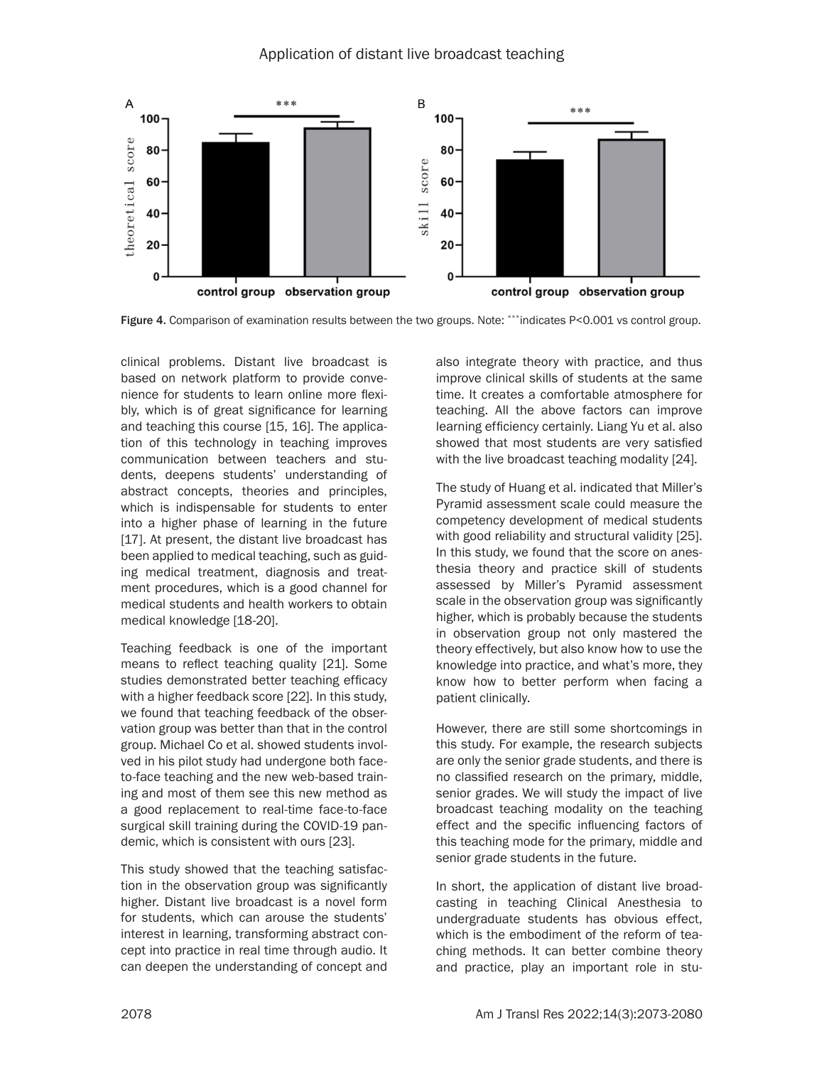

Figure 4. Comparison of examination results between the two groups. Note: \*\*\*indicates P<0.001 vs control group.

clinical problems. Distant live broadcast is based on network platform to provide convenience for students to learn online more flexibly, which is of great significance for learning and teaching this course [15, 16]. The application of this technology in teaching improves communication between teachers and students, deepens students' understanding of abstract concepts, theories and principles, which is indispensable for students to enter into a higher phase of learning in the future [17]. At present, the distant live broadcast has been applied to medical teaching, such as guiding medical treatment, diagnosis and treatment procedures, which is a good channel for medical students and health workers to obtain medical knowledge [18-20].

Teaching feedback is one of the important means to reflect teaching quality [21]. Some studies demonstrated better teaching efficacy with a higher feedback score [22]. In this study, we found that teaching feedback of the observation group was better than that in the control group. Michael Co et al. showed students involved in his pilot study had undergone both faceto-face teaching and the new web-based training and most of them see this new method as a good replacement to real-time face-to-face surgical skill training during the COVID-19 pandemic, which is consistent with ours [23].

This study showed that the teaching satisfaction in the observation group was significantly higher. Distant live broadcast is a novel form for students, which can arouse the students' interest in learning, transforming abstract concept into practice in real time through audio. It can deepen the understanding of concept and

also integrate theory with practice, and thus improve clinical skills of students at the same time. It creates a comfortable atmosphere for teaching. All the above factors can improve learning efficiency certainly. Liang Yu et al. also showed that most students are very satisfied with the live broadcast teaching modality [24].

The study of Huang et al. indicated that Miller's Pyramid assessment scale could measure the competency development of medical students with good reliability and structural validity [25]. In this study, we found that the score on anesthesia theory and practice skill of students assessed by Miller's Pyramid assessment scale in the observation group was significantly higher, which is probably because the students in observation group not only mastered the theory effectively, but also know how to use the knowledge into practice, and what's more, they know how to better perform when facing a patient clinically.

However, there are still some shortcomings in this study. For example, the research subjects are only the senior grade students, and there is no classified research on the primary, middle, senior grades. We will study the impact of live broadcast teaching modality on the teaching effect and the specific influencing factors of this teaching mode for the primary, middle and senior grade students in the future.

In short, the application of distant live broadcasting in teaching Clinical Anesthesia to undergraduate students has obvious effect, which is the embodiment of the reform of teaching methods. It can better combine theory and practice, play an important role in stu-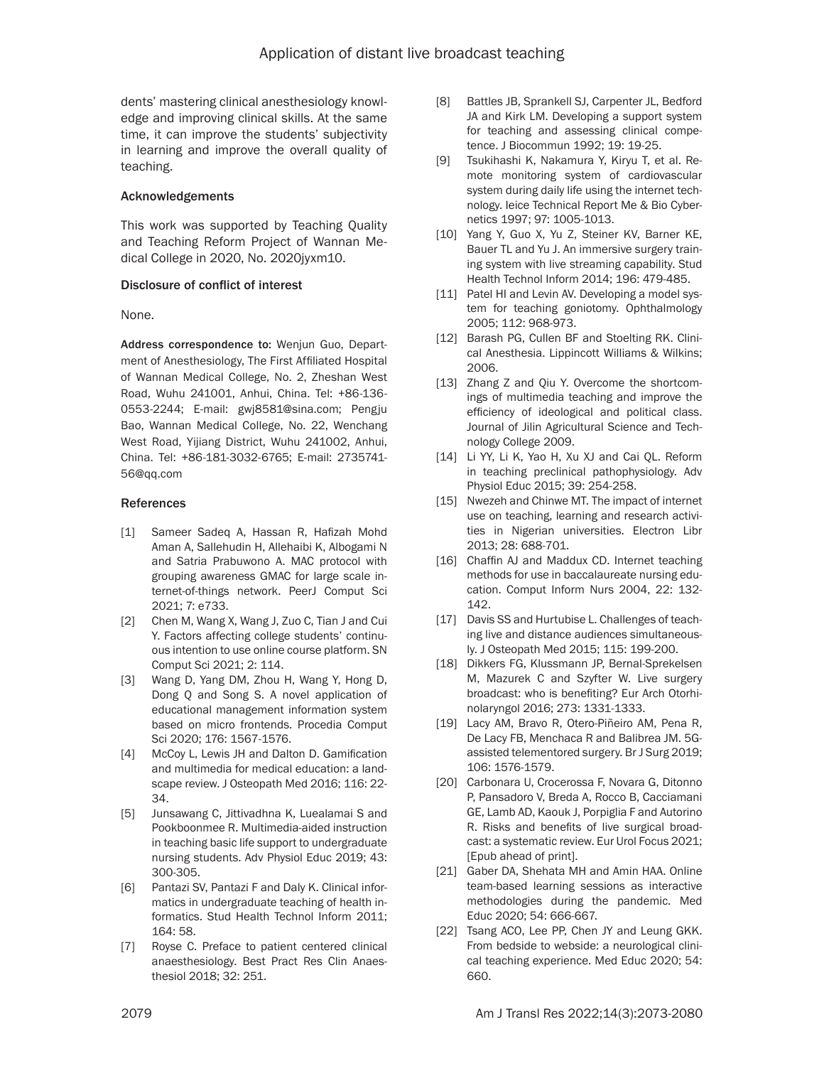dents' mastering clinical anesthesiology knowledge and improving clinical skills. At the same time, it can improve the students' subjectivity in learning and improve the overall quality of teaching.

### Acknowledgements

This work was supported by Teaching Quality and Teaching Reform Project of Wannan Medical College in 2020, No. 2020jyxm10.

## Disclosure of conflict of interest

None.

Address correspondence to: Wenjun Guo, Department of Anesthesiology, The First Affiliated Hospital of Wannan Medical College, No. 2, Zheshan West Road, Wuhu 241001, Anhui, China. Tel: +86-136- 0553-2244; E-mail: gwj8581@sina.com; Pengju Bao, Wannan Medical College, No. 22, Wenchang West Road, Yijiang District, Wuhu 241002, Anhui, China. Tel: +86-181-3032-6765; E-mail: [2735741-](mailto:273574156@qq.com) [56@qq.com](mailto:273574156@qq.com)

## References

- [1] Sameer Sadeq A, Hassan R, Hafizah Mohd Aman A, Sallehudin H, Allehaibi K, Albogami N and Satria Prabuwono A. MAC protocol with grouping awareness GMAC for large scale internet-of-things network. PeerJ Comput Sci 2021; 7: e733.
- [2] Chen M, Wang X, Wang J, Zuo C, Tian J and Cui Y. Factors affecting college students' continuous intention to use online course platform. SN Comput Sci 2021; 2: 114.
- [3] Wang D, Yang DM, Zhou H, Wang Y, Hong D, Dong Q and Song S. A novel application of educational management information system based on micro frontends. Procedia Comput Sci 2020; 176: 1567-1576.
- [4] McCoy L, Lewis JH and Dalton D. Gamification and multimedia for medical education: a landscape review. J Osteopath Med 2016; 116: 22- 34.
- [5] Junsawang C, Jittivadhna K, Luealamai S and Pookboonmee R. Multimedia-aided instruction in teaching basic life support to undergraduate nursing students. Adv Physiol Educ 2019; 43: 300-305.
- [6] Pantazi SV, Pantazi F and Daly K. Clinical informatics in undergraduate teaching of health informatics. Stud Health Technol Inform 2011; 164: 58.
- [7] Royse C. Preface to patient centered clinical anaesthesiology. Best Pract Res Clin Anaesthesiol 2018; 32: 251.
- [8] Battles JB, Sprankell SJ, Carpenter JL, Bedford JA and Kirk LM. Developing a support system for teaching and assessing clinical competence. J Biocommun 1992; 19: 19-25.
- [9] Tsukihashi K, Nakamura Y, Kiryu T, et al. Remote monitoring system of cardiovascular system during daily life using the internet technology. Ieice Technical Report Me & Bio Cybernetics 1997; 97: 1005-1013.
- [10] Yang Y, Guo X, Yu Z, Steiner KV, Barner KE, Bauer TL and Yu J. An immersive surgery training system with live streaming capability. Stud Health Technol Inform 2014; 196: 479-485.
- [11] Patel HI and Levin AV. Developing a model system for teaching goniotomy. Ophthalmology 2005; 112: 968-973.
- [12] Barash PG, Cullen BF and Stoelting RK. Clinical Anesthesia. Lippincott Williams & Wilkins; 2006.
- [13] Zhang Z and Qiu Y. Overcome the shortcomings of multimedia teaching and improve the efficiency of ideological and political class. Journal of Jilin Agricultural Science and Technology College 2009.
- [14] Li YY, Li K, Yao H, Xu XJ and Cai QL. Reform in teaching preclinical pathophysiology. Adv Physiol Educ 2015; 39: 254-258.
- [15] Nwezeh and Chinwe MT. The impact of internet use on teaching, learning and research activities in Nigerian universities. Electron Libr 2013; 28: 688-701.
- [16] Chaffin AJ and Maddux CD. Internet teaching methods for use in baccalaureate nursing education. Comput Inform Nurs 2004, 22: 132- 142.
- [17] Davis SS and Hurtubise L. Challenges of teaching live and distance audiences simultaneously. J Osteopath Med 2015; 115: 199-200.
- [18] Dikkers FG, Klussmann JP, Bernal-Sprekelsen M, Mazurek C and Szyfter W. Live surgery broadcast: who is benefiting? Eur Arch Otorhinolaryngol 2016; 273: 1331-1333.
- [19] Lacy AM, Bravo R, Otero-Piñeiro AM, Pena R, De Lacy FB, Menchaca R and Balibrea JM. 5Gassisted telementored surgery. Br J Surg 2019; 106: 1576-1579.
- [20] Carbonara U, Crocerossa F, Novara G. Ditonno P, Pansadoro V, Breda A, Rocco B, Cacciamani GE, Lamb AD, Kaouk J, Porpiglia F and Autorino R. Risks and benefits of live surgical broadcast: a systematic review. Eur Urol Focus 2021; [Epub ahead of print].
- [21] Gaber DA, Shehata MH and Amin HAA. Online team-based learning sessions as interactive methodologies during the pandemic. Med Educ 2020; 54: 666-667.
- [22] Tsang ACO, Lee PP, Chen JY and Leung GKK. From bedside to webside: a neurological clinical teaching experience. Med Educ 2020; 54: 660.